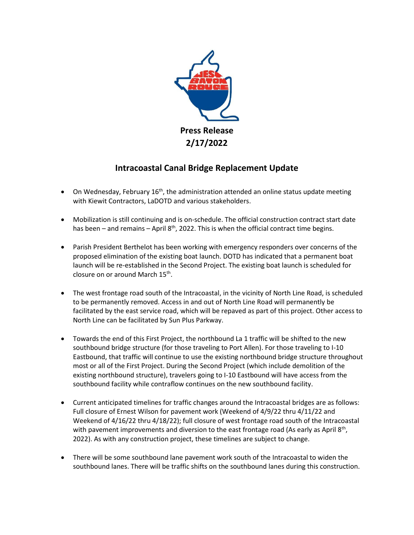

## **Intracoastal Canal Bridge Replacement Update**

- $\bullet$  On Wednesday, February 16<sup>th</sup>, the administration attended an online status update meeting with Kiewit Contractors, LaDOTD and various stakeholders.
- Mobilization is still continuing and is on-schedule. The official construction contract start date has been – and remains – April  $8<sup>th</sup>$ , 2022. This is when the official contract time begins.
- Parish President Berthelot has been working with emergency responders over concerns of the proposed elimination of the existing boat launch. DOTD has indicated that a permanent boat launch will be re-established in the Second Project. The existing boat launch is scheduled for closure on or around March 15<sup>th</sup>.
- The west frontage road south of the Intracoastal, in the vicinity of North Line Road, is scheduled to be permanently removed. Access in and out of North Line Road will permanently be facilitated by the east service road, which will be repaved as part of this project. Other access to North Line can be facilitated by Sun Plus Parkway.
- Towards the end of this First Project, the northbound La 1 traffic will be shifted to the new southbound bridge structure (for those traveling to Port Allen). For those traveling to I-10 Eastbound, that traffic will continue to use the existing northbound bridge structure throughout most or all of the First Project. During the Second Project (which include demolition of the existing northbound structure), travelers going to I-10 Eastbound will have access from the southbound facility while contraflow continues on the new southbound facility.
- Current anticipated timelines for traffic changes around the Intracoastal bridges are as follows: Full closure of Ernest Wilson for pavement work (Weekend of 4/9/22 thru 4/11/22 and Weekend of 4/16/22 thru 4/18/22); full closure of west frontage road south of the Intracoastal with pavement improvements and diversion to the east frontage road (As early as April 8<sup>th</sup>, 2022). As with any construction project, these timelines are subject to change.
- There will be some southbound lane pavement work south of the Intracoastal to widen the southbound lanes. There will be traffic shifts on the southbound lanes during this construction.